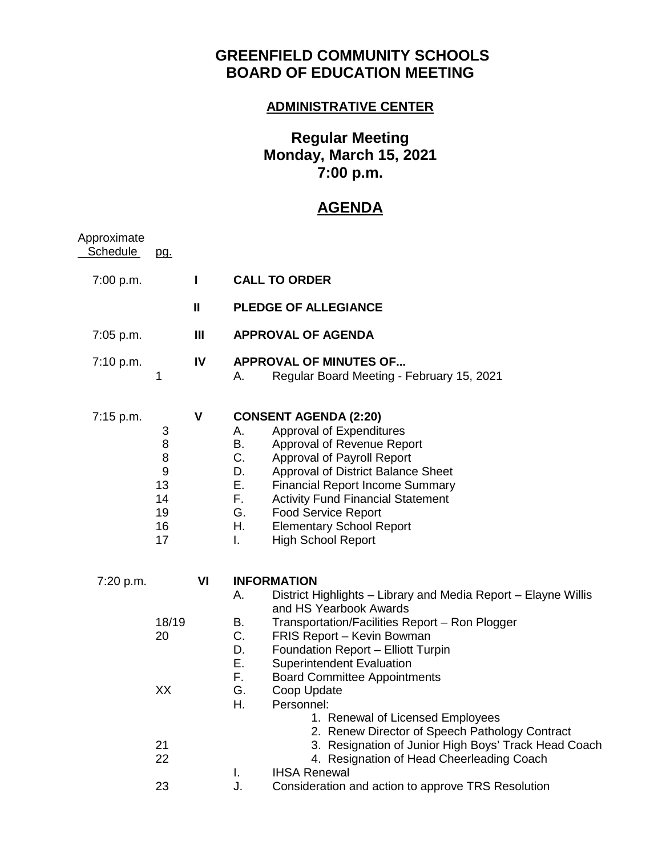## **GREENFIELD COMMUNITY SCHOOLS BOARD OF EDUCATION MEETING**

## **ADMINISTRATIVE CENTER**

## **Regular Meeting Monday, March 15, 2021 7:00 p.m.**

## **AGENDA**

| pg.                                              |                |                                                                                                                                                                                                                                                                                                                                                                                                                                                                                                                                                                                                                                                                                  |
|--------------------------------------------------|----------------|----------------------------------------------------------------------------------------------------------------------------------------------------------------------------------------------------------------------------------------------------------------------------------------------------------------------------------------------------------------------------------------------------------------------------------------------------------------------------------------------------------------------------------------------------------------------------------------------------------------------------------------------------------------------------------|
|                                                  | L              | <b>CALL TO ORDER</b>                                                                                                                                                                                                                                                                                                                                                                                                                                                                                                                                                                                                                                                             |
|                                                  | $\mathbf{I}$   | <b>PLEDGE OF ALLEGIANCE</b>                                                                                                                                                                                                                                                                                                                                                                                                                                                                                                                                                                                                                                                      |
|                                                  | $\mathbf{III}$ | <b>APPROVAL OF AGENDA</b>                                                                                                                                                                                                                                                                                                                                                                                                                                                                                                                                                                                                                                                        |
| 1                                                | IV             | <b>APPROVAL OF MINUTES OF</b><br>Regular Board Meeting - February 15, 2021<br>А.                                                                                                                                                                                                                                                                                                                                                                                                                                                                                                                                                                                                 |
| 3<br>8<br>8<br>9<br>13<br>14<br>19<br>16<br>17   | V              | <b>CONSENT AGENDA (2:20)</b><br>Approval of Expenditures<br>Α.<br>Β.<br>Approval of Revenue Report<br>C.<br>Approval of Payroll Report<br>D.<br>Approval of District Balance Sheet<br>Е.<br><b>Financial Report Income Summary</b><br>F.,<br><b>Activity Fund Financial Statement</b><br>G.<br><b>Food Service Report</b><br>Η.<br><b>Elementary School Report</b><br>L.<br><b>High School Report</b>                                                                                                                                                                                                                                                                            |
| 7:20 p.m.<br>18/19<br>20<br>XX<br>21<br>22<br>23 | VI             | <b>INFORMATION</b><br>District Highlights - Library and Media Report - Elayne Willis<br>А.<br>and HS Yearbook Awards<br>В.<br>Transportation/Facilities Report - Ron Plogger<br>C.<br>FRIS Report - Kevin Bowman<br>D.<br>Foundation Report - Elliott Turpin<br>Ε.<br><b>Superintendent Evaluation</b><br>F.<br><b>Board Committee Appointments</b><br>G.<br>Coop Update<br>Η.<br>Personnel:<br>1. Renewal of Licensed Employees<br>2. Renew Director of Speech Pathology Contract<br>3. Resignation of Junior High Boys' Track Head Coach<br>4. Resignation of Head Cheerleading Coach<br><b>IHSA Renewal</b><br>I.<br>J.<br>Consideration and action to approve TRS Resolution |
|                                                  |                |                                                                                                                                                                                                                                                                                                                                                                                                                                                                                                                                                                                                                                                                                  |